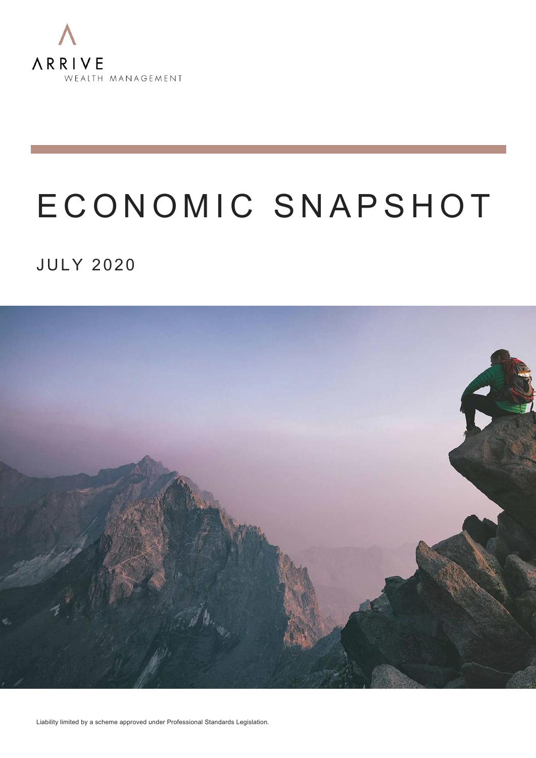

## E CONOMIC SNAPSHOT

#### **JULY 2020**



Liability limited by a scheme approved under Professional Standards Legislation.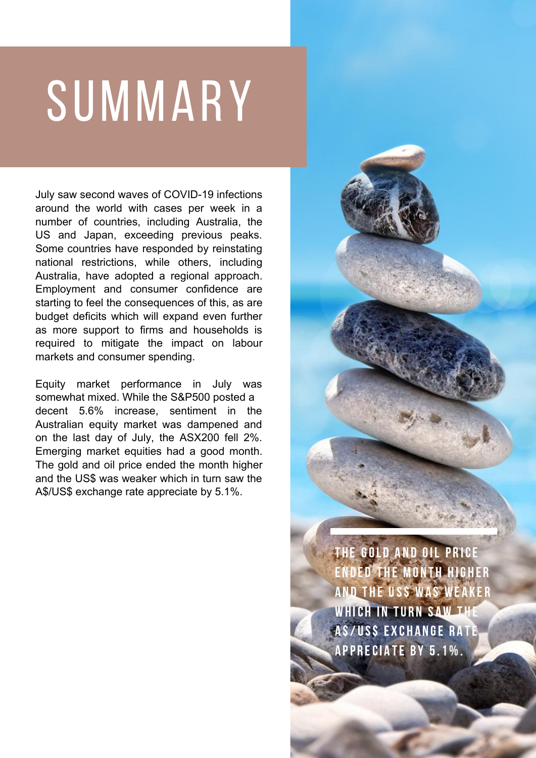# SUMMARY

July saw second waves of COVID-19 infections around the world with cases per week in a number of countries, including Australia, the US and Japan, exceeding previous peaks. Some countries have responded by reinstating national restrictions, while others, including Australia, have adopted a regional approach. Employment and consumer confidence are starting to feel the consequences of this, as are budget deficits which will expand even further as more support to firms and households is required to mitigate the impact on labour markets and consumer spending.

Equity market performance in July was somewhat mixed. While the S&P500 posted a decent 5.6% increase, sentiment in the Australian equity market was dampened and on the last day of July, the ASX200 fell 2%. Emerging market equities had a good month. The gold and oil price ended the month higher and the US\$ was weaker which in turn saw the A\$/US\$ exchange rate appreciate by 5.1%.

> THE GOLD AND OIL PRICE ENDED THE MONTH HIGHER AND THE USS WAS WEAKER WHICH IN TURN SAW THE AS/USS EXCHANGE RATE APPRECIATE BY 5.1%.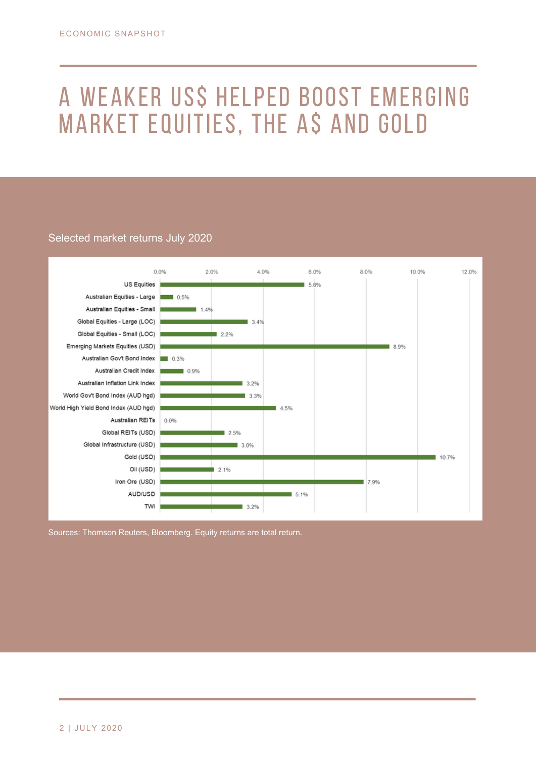## A weaker US\$ helped boost emerging market equities, the A\$ and gold

#### Selected market returns July 2020



Sources: Thomson Reuters, Bloomberg. Equity returns are total return.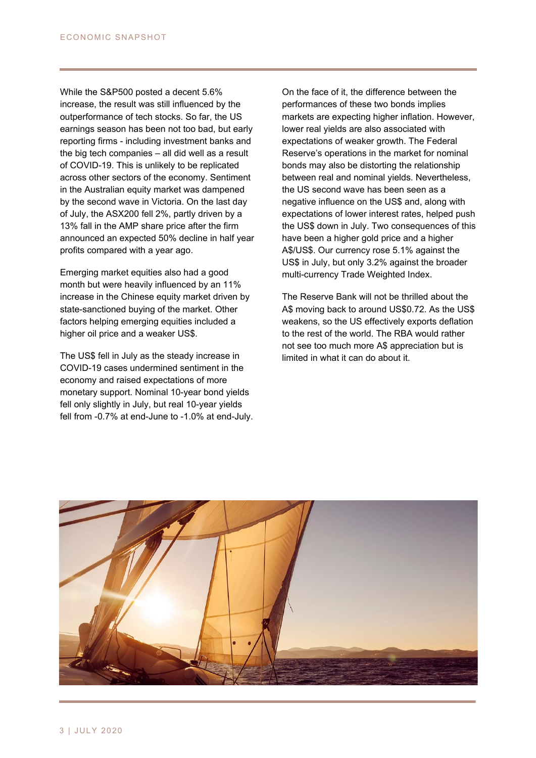While the S&P500 posted a decent 5.6% increase, the result was still influenced by the outperformance of tech stocks. So far, the US earnings season has been not too bad, but early reporting firms - including investment banks and the big tech companies – all did well as a result of COVID-19. This is unlikely to be replicated across other sectors of the economy. Sentiment in the Australian equity market was dampened by the second wave in Victoria. On the last day of July, the ASX200 fell 2%, partly driven by a 13% fall in the AMP share price after the firm announced an expected 50% decline in half year profits compared with a year ago.

Emerging market equities also had a good month but were heavily influenced by an 11% increase in the Chinese equity market driven by state-sanctioned buying of the market. Other factors helping emerging equities included a higher oil price and a weaker US\$.

The US\$ fell in July as the steady increase in COVID-19 cases undermined sentiment in the economy and raised expectations of more monetary support. Nominal 10-year bond yields fell only slightly in July, but real 10-year yields fell from -0.7% at end-June to -1.0% at end-July. On the face of it, the difference between the performances of these two bonds implies markets are expecting higher inflation. However, lower real yields are also associated with expectations of weaker growth. The Federal Reserve's operations in the market for nominal bonds may also be distorting the relationship between real and nominal yields. Nevertheless, the US second wave has been seen as a negative influence on the US\$ and, along with expectations of lower interest rates, helped push the US\$ down in July. Two consequences of this have been a higher gold price and a higher A\$/US\$. Our currency rose 5.1% against the US\$ in July, but only 3.2% against the broader multi-currency Trade Weighted Index.

The Reserve Bank will not be thrilled about the A\$ moving back to around US\$0.72. As the US\$ weakens, so the US effectively exports deflation to the rest of the world. The RBA would rather not see too much more A\$ appreciation but is limited in what it can do about it.

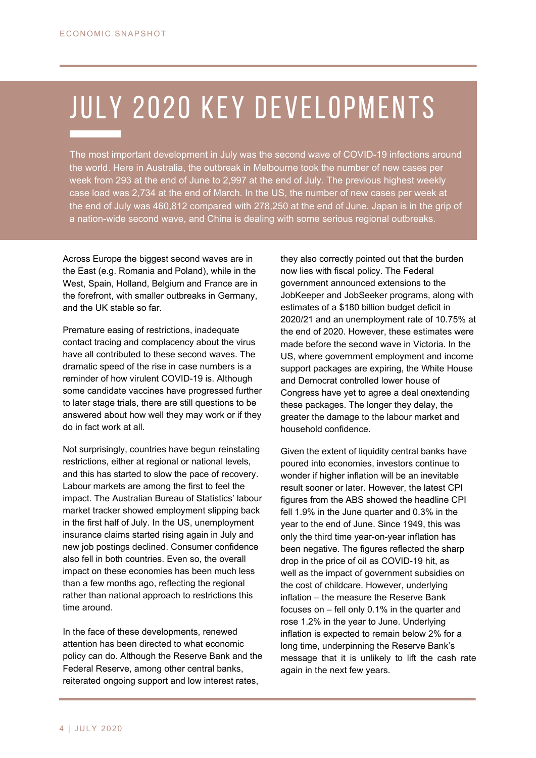### ULY ZUZU NEY DEVELUMN<br>——————————————————— july 2020 key developments

The most important development in July was the second wave of COVID-19 infections around the world. Here in Australia, the outbreak in Melbourne took the number of new cases per week from 293 at the end of June to 2,997 at the end of July. The previous highest weekly case load was 2,734 at the end of March. In the US, the number of new cases per week at the end of July was 460,812 compared with 278,250 at the end of June. Japan is in the grip of a nation-wide second wave, and China is dealing with some serious regional outbreaks.

Across Europe the biggest second waves are in the East (e.g. Romania and Poland), while in the West, Spain, Holland, Belgium and France are in the forefront, with smaller outbreaks in Germany, and the UK stable so far.

Premature easing of restrictions, inadequate contact tracing and complacency about the virus have all contributed to these second waves. The dramatic speed of the rise in case numbers is a reminder of how virulent COVID-19 is. Although some candidate vaccines have progressed further to later stage trials, there are still questions to be answered about how well they may work or if they do in fact work at all.

Not surprisingly, countries have begun reinstating restrictions, either at regional or national levels, and this has started to slow the pace of recovery. Labour markets are among the first to feel the impact. The Australian Bureau of Statistics' labour market tracker showed employment slipping back in the first half of July. In the US, unemployment insurance claims started rising again in July and new job postings declined. Consumer confidence also fell in both countries. Even so, the overall impact on these economies has been much less than a few months ago, reflecting the regional rather than national approach to restrictions this time around.

In the face of these developments, renewed attention has been directed to what economic policy can do. Although the Reserve Bank and the Federal Reserve, among other central banks, reiterated ongoing support and low interest rates,

they also correctly pointed out that the burden now lies with fiscal policy. The Federal government announced extensions to the JobKeeper and JobSeeker programs, along with estimates of a \$180 billion budget deficit in 2020/21 and an unemployment rate of 10.75% at the end of 2020. However, these estimates were made before the second wave in Victoria. In the US, where government employment and income support packages are expiring, the White House and Democrat controlled lower house of Congress have yet to agree a deal onextending these packages. The longer they delay, the greater the damage to the labour market and household confidence.

Given the extent of liquidity central banks have poured into economies, investors continue to wonder if higher inflation will be an inevitable result sooner or later. However, the latest CPI figures from the ABS showed the headline CPI fell 1.9% in the June quarter and 0.3% in the year to the end of June. Since 1949, this was only the third time year-on-year inflation has been negative. The figures reflected the sharp drop in the price of oil as COVID-19 hit, as well as the impact of government subsidies on the cost of childcare. However, underlying inflation – the measure the Reserve Bank focuses on – fell only 0.1% in the quarter and rose 1.2% in the year to June. Underlying inflation is expected to remain below 2% for a long time, underpinning the Reserve Bank's message that it is unlikely to lift the cash rate again in the next few years.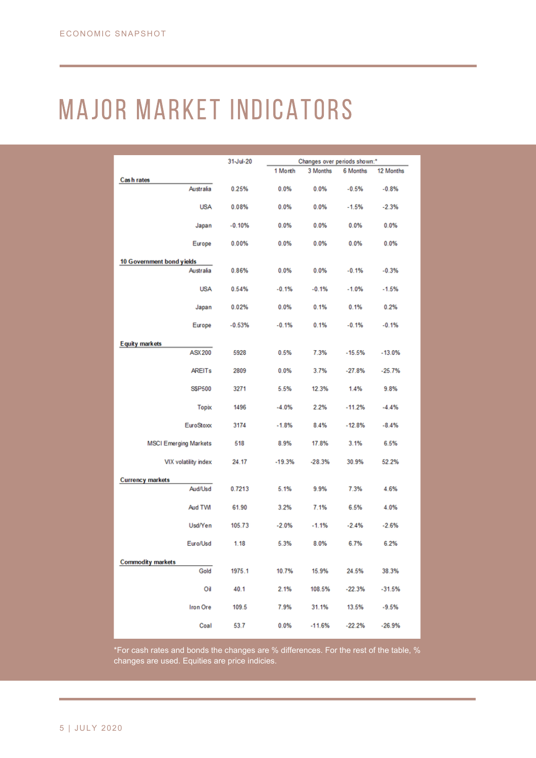## major market indicators

|                                        | 31-Jul-20 | Changes over periods shown:* |          |          |           |
|----------------------------------------|-----------|------------------------------|----------|----------|-----------|
|                                        |           | 1 Month                      | 3 Months | 6 Months | 12 Months |
| Cash rates<br>Australia                | 0.25%     | 0.0%                         | 0.0%     | $-0.5%$  | $-0.8%$   |
| <b>USA</b>                             | 0.08%     | 0.0%                         | 0.0%     | $-1.5%$  | $-2.3%$   |
| Japan                                  | $-0.10%$  | 0.0%                         | 0.0%     | 0.0%     | 0.0%      |
| Europe                                 | 0.00%     | 0.0%                         | 0.0%     | 0.0%     | 0.0%      |
| 10 Government bond yields              |           |                              |          |          |           |
| Australia                              | 0.86%     | 0.0%                         | 0.0%     | $-0.1%$  | $-0.3%$   |
| <b>USA</b>                             | 0.54%     | $-0.1%$                      | $-0.1%$  | $-1.0%$  | $-1.5%$   |
| Japan                                  | 0.02%     | 0.0%                         | 0.1%     | 0.1%     | 0.2%      |
| Europe                                 | $-0.53%$  | $-0.1%$                      | 0.1%     | $-0.1%$  | $-0.1%$   |
|                                        |           |                              |          |          |           |
| <b>Equity markets</b><br><b>ASX200</b> | 5928      | 0.5%                         | 7.3%     | $-15.5%$ | $-13.0%$  |
| <b>AREITs</b>                          | 2809      | $0.0\%$                      | 3.7%     | $-27.8%$ | $-25.7%$  |
| <b>SSP500</b>                          | 3271      | 5.5%                         | 12.3%    | 1.4%     | 9.8%      |
| <b>Topix</b>                           | 1496      | $-4.0%$                      | 2.2%     | $-11.2%$ | $-4.4%$   |
| EuroStoxx                              | 3174      | $-1.8%$                      | 8.4%     | $-12.8%$ | $-8.4%$   |
| <b>MSCI Emerging Markets</b>           | 518       | 8.9%                         | 17.8%    | 3.1%     | 6.5%      |
| VIX volatility index                   | 24.17     | $-19.3%$                     | $-28.3%$ | 30.9%    | 52.2%     |
|                                        |           |                              |          |          |           |
| <b>Currency markets</b><br>Aud/Usd     | 0.7213    | 5.1%                         | 9.9%     | 7.3%     | 4.6%      |
| Aud TWI                                | 61.90     | 3.2%                         | 7.1%     | 6.5%     | 4.0%      |
| Usd/Yen                                | 105.73    | $-2.0%$                      | $-1.1%$  | $-2.4%$  | $-2.6%$   |
| Euro/Usd                               | 1.18      | 5.3%                         | 8.0%     | 6.7%     | 6.2%      |
|                                        |           |                              |          |          |           |
| <b>Commodity markets</b><br>Gold       | 1975.1    | 10.7%                        | 15.9%    | 24.5%    | 38.3%     |
| Оì                                     | 40.1      | 2.1%                         | 108.5%   | $-22.3%$ | $-31.5%$  |
| <b>Iron Ore</b>                        | 109.5     | 7.9%                         | 31.1%    | 13.5%    | $-9.5%$   |
| Coal                                   | 53.7      | 0.0%                         | $-11.6%$ | $-22.2%$ | $-26.9%$  |

\*For cash rates and bonds the changes are % differences. For the rest of the table, % changes are used. Equities are price indicies.